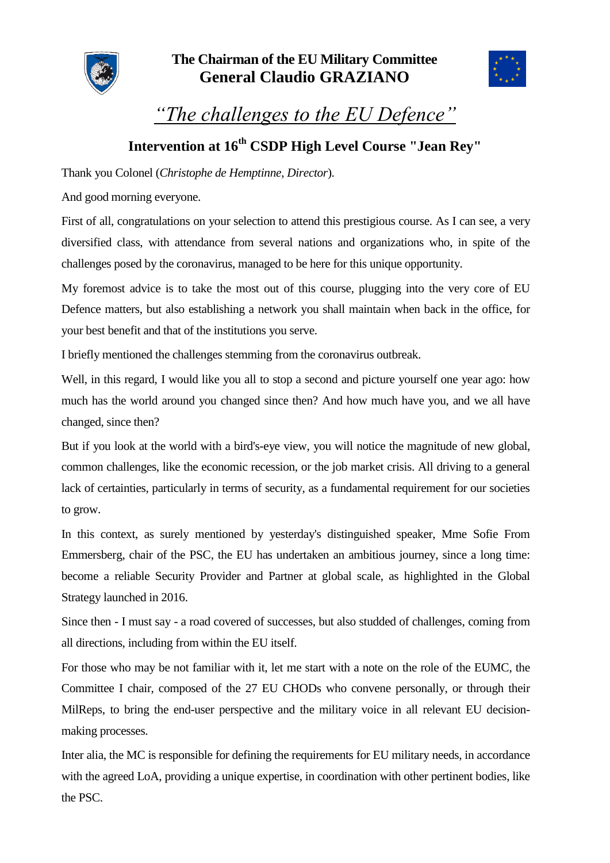



*"The challenges to the EU Defence"*

## **Intervention at 16th CSDP High Level Course "Jean Rey"**

Thank you Colonel (*Christophe de Hemptinne*, *Director*).

And good morning everyone.

First of all, congratulations on your selection to attend this prestigious course. As I can see, a very diversified class, with attendance from several nations and organizations who, in spite of the challenges posed by the coronavirus, managed to be here for this unique opportunity.

My foremost advice is to take the most out of this course, plugging into the very core of EU Defence matters, but also establishing a network you shall maintain when back in the office, for your best benefit and that of the institutions you serve.

I briefly mentioned the challenges stemming from the coronavirus outbreak.

Well, in this regard, I would like you all to stop a second and picture yourself one year ago: how much has the world around you changed since then? And how much have you, and we all have changed, since then?

But if you look at the world with a bird's-eye view, you will notice the magnitude of new global, common challenges, like the economic recession, or the job market crisis. All driving to a general lack of certainties, particularly in terms of security, as a fundamental requirement for our societies to grow.

In this context, as surely mentioned by yesterday's distinguished speaker, Mme Sofie From Emmersberg, chair of the PSC, the EU has undertaken an ambitious journey, since a long time: become a reliable Security Provider and Partner at global scale, as highlighted in the Global Strategy launched in 2016.

Since then - I must say - a road covered of successes, but also studded of challenges, coming from all directions, including from within the EU itself.

For those who may be not familiar with it, let me start with a note on the role of the EUMC, the Committee I chair, composed of the 27 EU CHODs who convene personally, or through their MilReps, to bring the end-user perspective and the military voice in all relevant EU decisionmaking processes.

Inter alia, the MC is responsible for defining the requirements for EU military needs, in accordance with the agreed LoA, providing a unique expertise, in coordination with other pertinent bodies, like the PSC.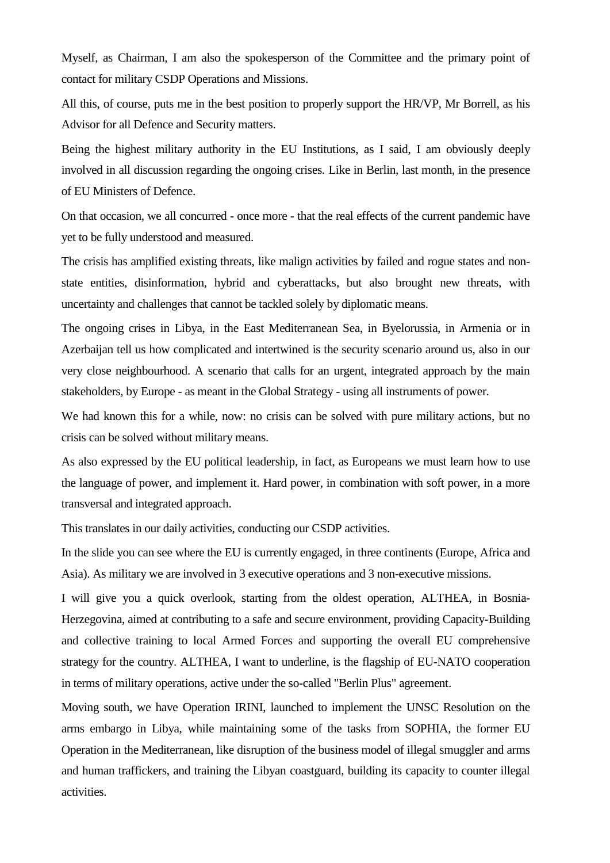Myself, as Chairman, I am also the spokesperson of the Committee and the primary point of contact for military CSDP Operations and Missions.

All this, of course, puts me in the best position to properly support the HR/VP, Mr Borrell, as his Advisor for all Defence and Security matters.

Being the highest military authority in the EU Institutions, as I said, I am obviously deeply involved in all discussion regarding the ongoing crises. Like in Berlin, last month, in the presence of EU Ministers of Defence.

On that occasion, we all concurred - once more - that the real effects of the current pandemic have yet to be fully understood and measured.

The crisis has amplified existing threats, like malign activities by failed and rogue states and nonstate entities, disinformation, hybrid and cyberattacks, but also brought new threats, with uncertainty and challenges that cannot be tackled solely by diplomatic means.

The ongoing crises in Libya, in the East Mediterranean Sea, in Byelorussia, in Armenia or in Azerbaijan tell us how complicated and intertwined is the security scenario around us, also in our very close neighbourhood. A scenario that calls for an urgent, integrated approach by the main stakeholders, by Europe - as meant in the Global Strategy - using all instruments of power.

We had known this for a while, now: no crisis can be solved with pure military actions, but no crisis can be solved without military means.

As also expressed by the EU political leadership, in fact, as Europeans we must learn how to use the language of power, and implement it. Hard power, in combination with soft power, in a more transversal and integrated approach.

This translates in our daily activities, conducting our CSDP activities.

In the slide you can see where the EU is currently engaged, in three continents (Europe, Africa and Asia). As military we are involved in 3 executive operations and 3 non-executive missions.

I will give you a quick overlook, starting from the oldest operation, ALTHEA, in Bosnia-Herzegovina, aimed at contributing to a safe and secure environment, providing Capacity-Building and collective training to local Armed Forces and supporting the overall EU comprehensive strategy for the country. ALTHEA, I want to underline, is the flagship of EU-NATO cooperation in terms of military operations, active under the so-called "Berlin Plus" agreement.

Moving south, we have Operation IRINI, launched to implement the UNSC Resolution on the arms embargo in Libya, while maintaining some of the tasks from SOPHIA, the former EU Operation in the Mediterranean, like disruption of the business model of illegal smuggler and arms and human traffickers, and training the Libyan coastguard, building its capacity to counter illegal activities.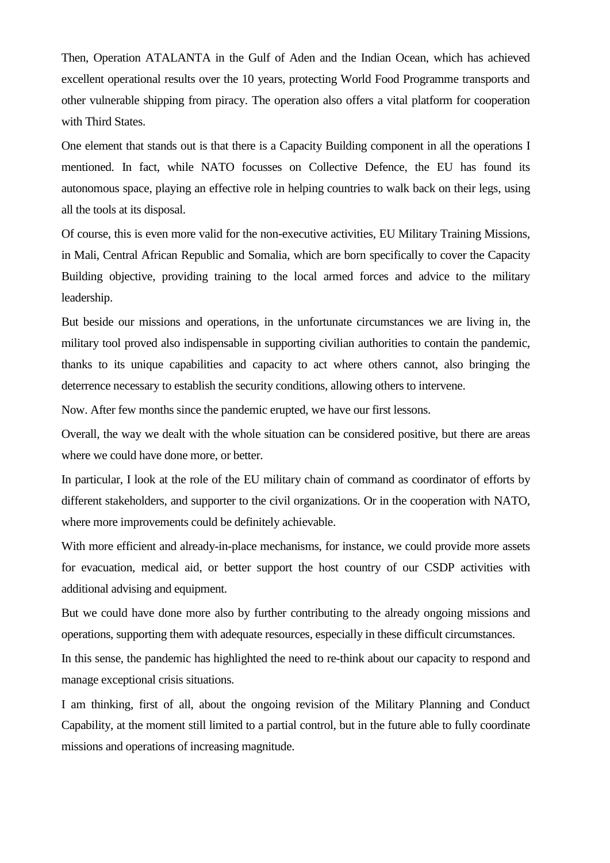Then, Operation ATALANTA in the Gulf of Aden and the Indian Ocean, which has achieved excellent operational results over the 10 years, protecting World Food Programme transports and other vulnerable shipping from piracy. The operation also offers a vital platform for cooperation with Third States.

One element that stands out is that there is a Capacity Building component in all the operations I mentioned. In fact, while NATO focusses on Collective Defence, the EU has found its autonomous space, playing an effective role in helping countries to walk back on their legs, using all the tools at its disposal.

Of course, this is even more valid for the non-executive activities, EU Military Training Missions, in Mali, Central African Republic and Somalia, which are born specifically to cover the Capacity Building objective, providing training to the local armed forces and advice to the military leadership.

But beside our missions and operations, in the unfortunate circumstances we are living in, the military tool proved also indispensable in supporting civilian authorities to contain the pandemic, thanks to its unique capabilities and capacity to act where others cannot, also bringing the deterrence necessary to establish the security conditions, allowing others to intervene.

Now. After few months since the pandemic erupted, we have our first lessons.

Overall, the way we dealt with the whole situation can be considered positive, but there are areas where we could have done more, or better.

In particular, I look at the role of the EU military chain of command as coordinator of efforts by different stakeholders, and supporter to the civil organizations. Or in the cooperation with NATO, where more improvements could be definitely achievable.

With more efficient and already-in-place mechanisms, for instance, we could provide more assets for evacuation, medical aid, or better support the host country of our CSDP activities with additional advising and equipment.

But we could have done more also by further contributing to the already ongoing missions and operations, supporting them with adequate resources, especially in these difficult circumstances.

In this sense, the pandemic has highlighted the need to re-think about our capacity to respond and manage exceptional crisis situations.

I am thinking, first of all, about the ongoing revision of the Military Planning and Conduct Capability, at the moment still limited to a partial control, but in the future able to fully coordinate missions and operations of increasing magnitude.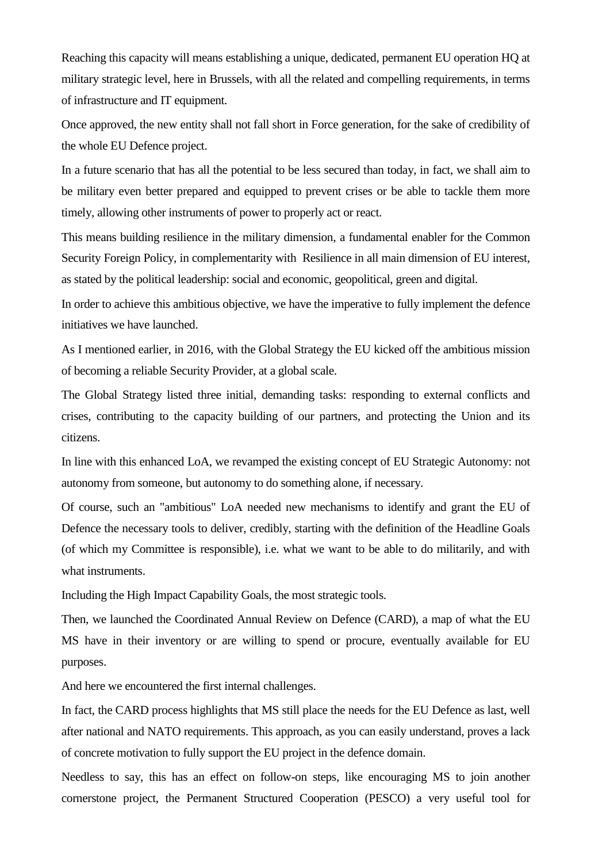Reaching this capacity will means establishing a unique, dedicated, permanent EU operation HQ at military strategic level, here in Brussels, with all the related and compelling requirements, in terms of infrastructure and IT equipment.

Once approved, the new entity shall not fall short in Force generation, for the sake of credibility of the whole EU Defence project.

In a future scenario that has all the potential to be less secured than today, in fact, we shall aim to be military even better prepared and equipped to prevent crises or be able to tackle them more timely, allowing other instruments of power to properly act or react.

This means building resilience in the military dimension, a fundamental enabler for the Common Security Foreign Policy, in complementarity with Resilience in all main dimension of EU interest, as stated by the political leadership: social and economic, geopolitical, green and digital.

In order to achieve this ambitious objective, we have the imperative to fully implement the defence initiatives we have launched.

As I mentioned earlier, in 2016, with the Global Strategy the EU kicked off the ambitious mission of becoming a reliable Security Provider, at a global scale.

The Global Strategy listed three initial, demanding tasks: responding to external conflicts and crises, contributing to the capacity building of our partners, and protecting the Union and its citizens.

In line with this enhanced LoA, we revamped the existing concept of EU Strategic Autonomy: not autonomy from someone, but autonomy to do something alone, if necessary.

Of course, such an "ambitious" LoA needed new mechanisms to identify and grant the EU of Defence the necessary tools to deliver, credibly, starting with the definition of the Headline Goals (of which my Committee is responsible), i.e. what we want to be able to do militarily, and with what instruments.

Including the High Impact Capability Goals, the most strategic tools.

Then, we launched the Coordinated Annual Review on Defence (CARD), a map of what the EU MS have in their inventory or are willing to spend or procure, eventually available for EU purposes.

And here we encountered the first internal challenges.

In fact, the CARD process highlights that MS still place the needs for the EU Defence as last, well after national and NATO requirements. This approach, as you can easily understand, proves a lack of concrete motivation to fully support the EU project in the defence domain.

Needless to say, this has an effect on follow-on steps, like encouraging MS to join another cornerstone project, the Permanent Structured Cooperation (PESCO) a very useful tool for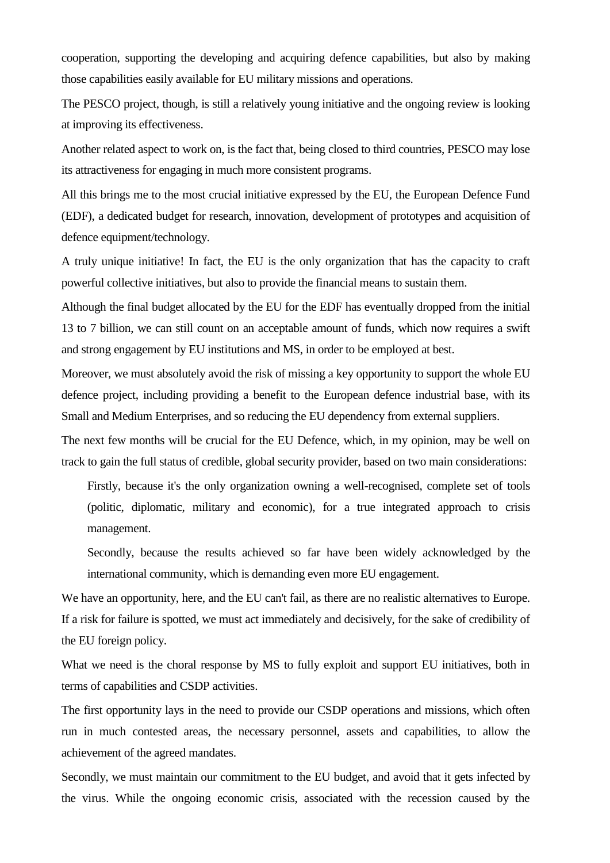cooperation, supporting the developing and acquiring defence capabilities, but also by making those capabilities easily available for EU military missions and operations.

The PESCO project, though, is still a relatively young initiative and the ongoing review is looking at improving its effectiveness.

Another related aspect to work on, is the fact that, being closed to third countries, PESCO may lose its attractiveness for engaging in much more consistent programs.

All this brings me to the most crucial initiative expressed by the EU, the European Defence Fund (EDF), a dedicated budget for research, innovation, development of prototypes and acquisition of defence equipment/technology.

A truly unique initiative! In fact, the EU is the only organization that has the capacity to craft powerful collective initiatives, but also to provide the financial means to sustain them.

Although the final budget allocated by the EU for the EDF has eventually dropped from the initial 13 to 7 billion, we can still count on an acceptable amount of funds, which now requires a swift and strong engagement by EU institutions and MS, in order to be employed at best.

Moreover, we must absolutely avoid the risk of missing a key opportunity to support the whole EU defence project, including providing a benefit to the European defence industrial base, with its Small and Medium Enterprises, and so reducing the EU dependency from external suppliers.

The next few months will be crucial for the EU Defence, which, in my opinion, may be well on track to gain the full status of credible, global security provider, based on two main considerations:

Firstly, because it's the only organization owning a well-recognised, complete set of tools (politic, diplomatic, military and economic), for a true integrated approach to crisis management.

Secondly, because the results achieved so far have been widely acknowledged by the international community, which is demanding even more EU engagement.

We have an opportunity, here, and the EU can't fail, as there are no realistic alternatives to Europe. If a risk for failure is spotted, we must act immediately and decisively, for the sake of credibility of the EU foreign policy.

What we need is the choral response by MS to fully exploit and support EU initiatives, both in terms of capabilities and CSDP activities.

The first opportunity lays in the need to provide our CSDP operations and missions, which often run in much contested areas, the necessary personnel, assets and capabilities, to allow the achievement of the agreed mandates.

Secondly, we must maintain our commitment to the EU budget, and avoid that it gets infected by the virus. While the ongoing economic crisis, associated with the recession caused by the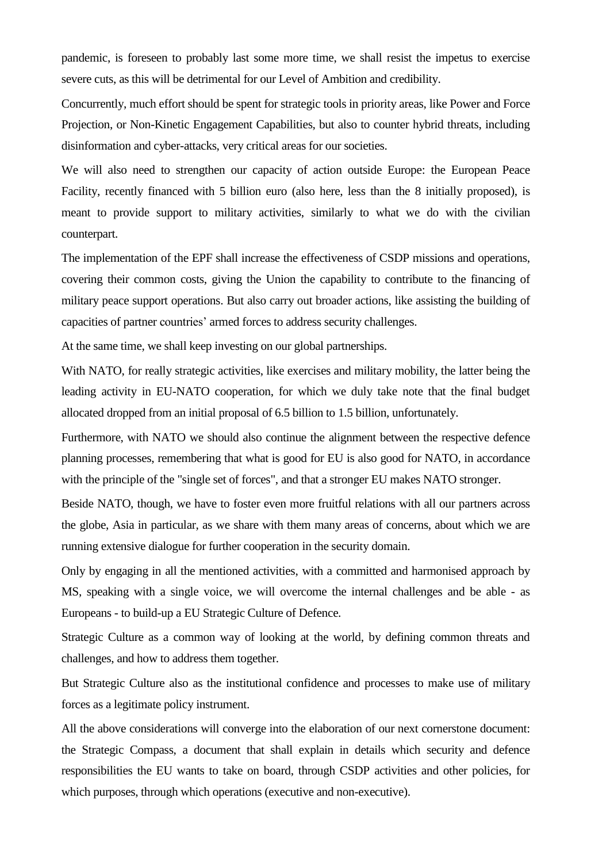pandemic, is foreseen to probably last some more time, we shall resist the impetus to exercise severe cuts, as this will be detrimental for our Level of Ambition and credibility.

Concurrently, much effort should be spent for strategic tools in priority areas, like Power and Force Projection, or Non-Kinetic Engagement Capabilities, but also to counter hybrid threats, including disinformation and cyber-attacks, very critical areas for our societies.

We will also need to strengthen our capacity of action outside Europe: the European Peace Facility, recently financed with 5 billion euro (also here, less than the 8 initially proposed), is meant to provide support to military activities, similarly to what we do with the civilian counterpart.

The implementation of the EPF shall increase the effectiveness of CSDP missions and operations, covering their common costs, giving the Union the capability to contribute to the financing of military peace support operations. But also carry out broader actions, like assisting the building of capacities of partner countries' armed forces to address security challenges.

At the same time, we shall keep investing on our global partnerships.

With NATO, for really strategic activities, like exercises and military mobility, the latter being the leading activity in EU-NATO cooperation, for which we duly take note that the final budget allocated dropped from an initial proposal of 6.5 billion to 1.5 billion, unfortunately.

Furthermore, with NATO we should also continue the alignment between the respective defence planning processes, remembering that what is good for EU is also good for NATO, in accordance with the principle of the "single set of forces", and that a stronger EU makes NATO stronger.

Beside NATO, though, we have to foster even more fruitful relations with all our partners across the globe, Asia in particular, as we share with them many areas of concerns, about which we are running extensive dialogue for further cooperation in the security domain.

Only by engaging in all the mentioned activities, with a committed and harmonised approach by MS, speaking with a single voice, we will overcome the internal challenges and be able - as Europeans - to build-up a EU Strategic Culture of Defence.

Strategic Culture as a common way of looking at the world, by defining common threats and challenges, and how to address them together.

But Strategic Culture also as the institutional confidence and processes to make use of military forces as a legitimate policy instrument.

All the above considerations will converge into the elaboration of our next cornerstone document: the Strategic Compass, a document that shall explain in details which security and defence responsibilities the EU wants to take on board, through CSDP activities and other policies, for which purposes, through which operations (executive and non-executive).